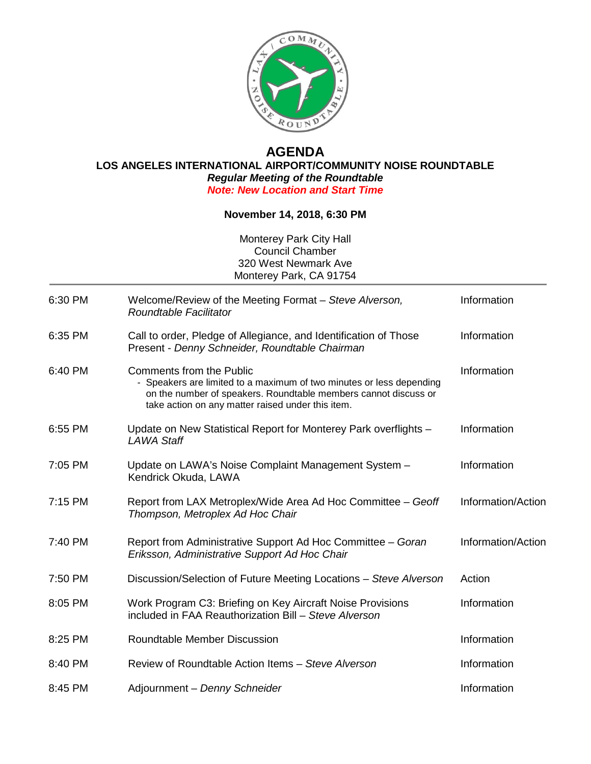

## **AGENDA LOS ANGELES INTERNATIONAL AIRPORT/COMMUNITY NOISE ROUNDTABLE** *Regular Meeting of the Roundtable Note: New Location and Start Time*

## **November 14, 2018, 6:30 PM**

Monterey Park City Hall Council Chamber 320 West Newmark Ave Monterey Park, CA 91754

| 6:30 PM | Welcome/Review of the Meeting Format - Steve Alverson,<br>Roundtable Facilitator                                                                                                                                                | Information        |
|---------|---------------------------------------------------------------------------------------------------------------------------------------------------------------------------------------------------------------------------------|--------------------|
| 6:35 PM | Call to order, Pledge of Allegiance, and Identification of Those<br>Present - Denny Schneider, Roundtable Chairman                                                                                                              | Information        |
| 6:40 PM | <b>Comments from the Public</b><br>- Speakers are limited to a maximum of two minutes or less depending<br>on the number of speakers. Roundtable members cannot discuss or<br>take action on any matter raised under this item. | Information        |
| 6:55 PM | Update on New Statistical Report for Monterey Park overflights -<br>LAWA Staff                                                                                                                                                  | Information        |
| 7:05 PM | Update on LAWA's Noise Complaint Management System -<br>Kendrick Okuda, LAWA                                                                                                                                                    | Information        |
| 7:15 PM | Report from LAX Metroplex/Wide Area Ad Hoc Committee – Geoff<br>Thompson, Metroplex Ad Hoc Chair                                                                                                                                | Information/Action |
| 7:40 PM | Report from Administrative Support Ad Hoc Committee - Goran<br>Eriksson, Administrative Support Ad Hoc Chair                                                                                                                    | Information/Action |
| 7:50 PM | Discussion/Selection of Future Meeting Locations - Steve Alverson                                                                                                                                                               | Action             |
| 8:05 PM | Work Program C3: Briefing on Key Aircraft Noise Provisions<br>included in FAA Reauthorization Bill - Steve Alverson                                                                                                             | Information        |
| 8:25 PM | Roundtable Member Discussion                                                                                                                                                                                                    | Information        |
| 8:40 PM | Review of Roundtable Action Items - Steve Alverson                                                                                                                                                                              | Information        |
| 8:45 PM | Adjournment - Denny Schneider                                                                                                                                                                                                   | Information        |